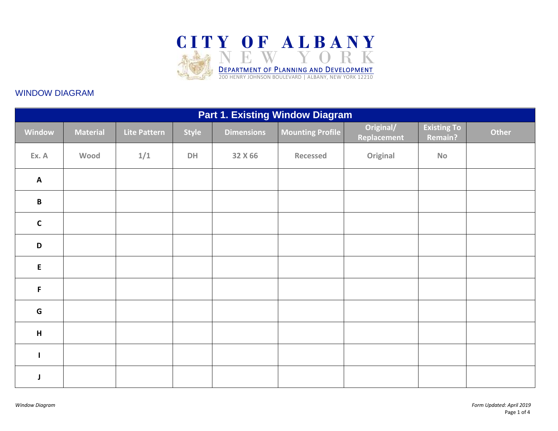

## WINDOW DIAGRAM

| <b>Part 1. Existing Window Diagram</b> |                 |              |              |                   |                         |                          |                               |       |
|----------------------------------------|-----------------|--------------|--------------|-------------------|-------------------------|--------------------------|-------------------------------|-------|
| Window                                 | <b>Material</b> | Lite Pattern | <b>Style</b> | <b>Dimensions</b> | <b>Mounting Profile</b> | Original/<br>Replacement | <b>Existing To</b><br>Remain? | Other |
| Ex. A                                  | Wood            | 1/1          | DH           | 32 X 66           | <b>Recessed</b>         | Original                 | <b>No</b>                     |       |
| $\boldsymbol{\mathsf{A}}$              |                 |              |              |                   |                         |                          |                               |       |
| $\, {\bf B}$                           |                 |              |              |                   |                         |                          |                               |       |
| $\mathbf{C}$                           |                 |              |              |                   |                         |                          |                               |       |
| $\mathsf D$                            |                 |              |              |                   |                         |                          |                               |       |
| $\mathsf{E}$                           |                 |              |              |                   |                         |                          |                               |       |
| F                                      |                 |              |              |                   |                         |                          |                               |       |
| G                                      |                 |              |              |                   |                         |                          |                               |       |
| H                                      |                 |              |              |                   |                         |                          |                               |       |
| $\mathbf{I}$                           |                 |              |              |                   |                         |                          |                               |       |
| J                                      |                 |              |              |                   |                         |                          |                               |       |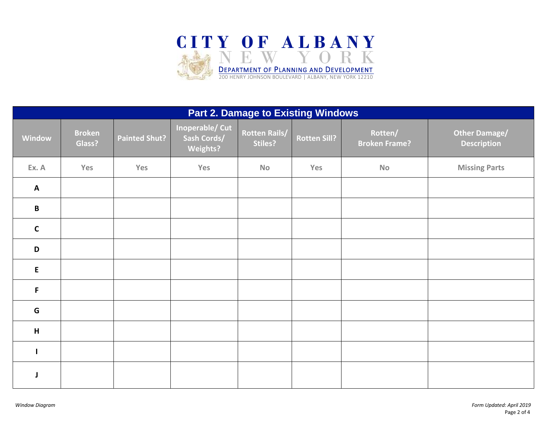

| <b>Part 2. Damage to Existing Windows</b> |                         |                      |                                                          |                                 |              |                                 |                                            |
|-------------------------------------------|-------------------------|----------------------|----------------------------------------------------------|---------------------------------|--------------|---------------------------------|--------------------------------------------|
| Window                                    | <b>Broken</b><br>Glass? | <b>Painted Shut?</b> | <b>Inoperable/ Cut</b><br>Sash Cords/<br><b>Weights?</b> | <b>Rotten Rails/</b><br>Stiles? | Rotten Sill? | Rotten/<br><b>Broken Frame?</b> | <b>Other Damage/</b><br><b>Description</b> |
| Ex. A                                     | Yes                     | Yes                  | Yes                                                      | <b>No</b>                       | Yes          | <b>No</b>                       | <b>Missing Parts</b>                       |
| $\boldsymbol{\mathsf{A}}$                 |                         |                      |                                                          |                                 |              |                                 |                                            |
| B                                         |                         |                      |                                                          |                                 |              |                                 |                                            |
| $\mathbf C$                               |                         |                      |                                                          |                                 |              |                                 |                                            |
| D                                         |                         |                      |                                                          |                                 |              |                                 |                                            |
| ${\sf E}$                                 |                         |                      |                                                          |                                 |              |                                 |                                            |
| F                                         |                         |                      |                                                          |                                 |              |                                 |                                            |
| G                                         |                         |                      |                                                          |                                 |              |                                 |                                            |
| H                                         |                         |                      |                                                          |                                 |              |                                 |                                            |
| $\mathbf{I}$                              |                         |                      |                                                          |                                 |              |                                 |                                            |
| J                                         |                         |                      |                                                          |                                 |              |                                 |                                            |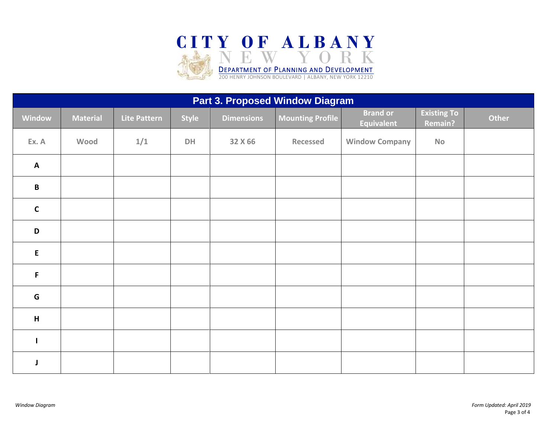

| Part 3. Proposed Window Diagram |                 |              |              |                   |                         |                                      |                                      |       |
|---------------------------------|-----------------|--------------|--------------|-------------------|-------------------------|--------------------------------------|--------------------------------------|-------|
| Window                          | <b>Material</b> | Lite Pattern | <b>Style</b> | <b>Dimensions</b> | <b>Mounting Profile</b> | <b>Brand or</b><br><b>Equivalent</b> | <b>Existing To</b><br><b>Remain?</b> | Other |
| Ex. A                           | Wood            | 1/1          | DH           | 32 X 66           | <b>Recessed</b>         | <b>Window Company</b>                | <b>No</b>                            |       |
| $\mathbf{A}$                    |                 |              |              |                   |                         |                                      |                                      |       |
| $\, {\bf B}$                    |                 |              |              |                   |                         |                                      |                                      |       |
| $\mathbf c$                     |                 |              |              |                   |                         |                                      |                                      |       |
| $\mathbf D$                     |                 |              |              |                   |                         |                                      |                                      |       |
| ${\sf E}$                       |                 |              |              |                   |                         |                                      |                                      |       |
| F                               |                 |              |              |                   |                         |                                      |                                      |       |
| G                               |                 |              |              |                   |                         |                                      |                                      |       |
| $\boldsymbol{\mathsf{H}}$       |                 |              |              |                   |                         |                                      |                                      |       |
| $\mathbf{I}$                    |                 |              |              |                   |                         |                                      |                                      |       |
|                                 |                 |              |              |                   |                         |                                      |                                      |       |